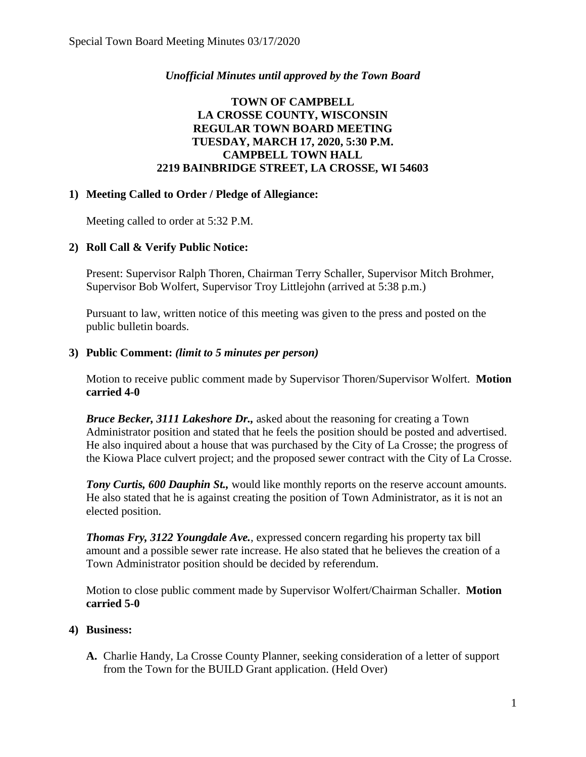## *Unofficial Minutes until approved by the Town Board*

## **TOWN OF CAMPBELL LA CROSSE COUNTY, WISCONSIN REGULAR TOWN BOARD MEETING TUESDAY, MARCH 17, 2020, 5:30 P.M. CAMPBELL TOWN HALL 2219 BAINBRIDGE STREET, LA CROSSE, WI 54603**

### **1) Meeting Called to Order / Pledge of Allegiance:**

Meeting called to order at 5:32 P.M.

# **2) Roll Call & Verify Public Notice:**

Present: Supervisor Ralph Thoren, Chairman Terry Schaller, Supervisor Mitch Brohmer, Supervisor Bob Wolfert, Supervisor Troy Littlejohn (arrived at 5:38 p.m.)

Pursuant to law, written notice of this meeting was given to the press and posted on the public bulletin boards.

### **3) Public Comment:** *(limit to 5 minutes per person)*

Motion to receive public comment made by Supervisor Thoren/Supervisor Wolfert. **Motion carried 4-0**

*Bruce Becker, 3111 Lakeshore Dr.,* asked about the reasoning for creating a Town Administrator position and stated that he feels the position should be posted and advertised. He also inquired about a house that was purchased by the City of La Crosse; the progress of the Kiowa Place culvert project; and the proposed sewer contract with the City of La Crosse.

*Tony Curtis, 600 Dauphin St., would like monthly reports on the reserve account amounts.* He also stated that he is against creating the position of Town Administrator, as it is not an elected position.

*Thomas Fry, 3122 Youngdale Ave.*, expressed concern regarding his property tax bill amount and a possible sewer rate increase. He also stated that he believes the creation of a Town Administrator position should be decided by referendum.

Motion to close public comment made by Supervisor Wolfert/Chairman Schaller. **Motion carried 5-0**

### **4) Business:**

**A.** Charlie Handy, La Crosse County Planner, seeking consideration of a letter of support from the Town for the BUILD Grant application. (Held Over)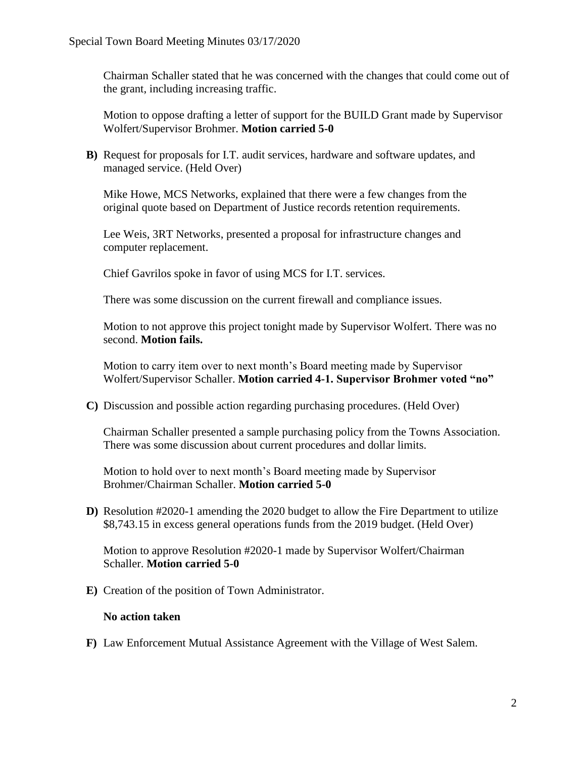Chairman Schaller stated that he was concerned with the changes that could come out of the grant, including increasing traffic.

Motion to oppose drafting a letter of support for the BUILD Grant made by Supervisor Wolfert/Supervisor Brohmer. **Motion carried 5-0**

**B)** Request for proposals for I.T. audit services, hardware and software updates, and managed service. (Held Over)

Mike Howe, MCS Networks, explained that there were a few changes from the original quote based on Department of Justice records retention requirements.

Lee Weis, 3RT Networks, presented a proposal for infrastructure changes and computer replacement.

Chief Gavrilos spoke in favor of using MCS for I.T. services.

There was some discussion on the current firewall and compliance issues.

Motion to not approve this project tonight made by Supervisor Wolfert. There was no second. **Motion fails.** 

Motion to carry item over to next month's Board meeting made by Supervisor Wolfert/Supervisor Schaller. **Motion carried 4-1. Supervisor Brohmer voted "no"**

**C)** Discussion and possible action regarding purchasing procedures. (Held Over)

Chairman Schaller presented a sample purchasing policy from the Towns Association. There was some discussion about current procedures and dollar limits.

Motion to hold over to next month's Board meeting made by Supervisor Brohmer/Chairman Schaller. **Motion carried 5-0**

**D)** Resolution #2020-1 amending the 2020 budget to allow the Fire Department to utilize \$8,743.15 in excess general operations funds from the 2019 budget. (Held Over)

Motion to approve Resolution #2020-1 made by Supervisor Wolfert/Chairman Schaller. **Motion carried 5-0**

**E)** Creation of the position of Town Administrator.

#### **No action taken**

**F)** Law Enforcement Mutual Assistance Agreement with the Village of West Salem.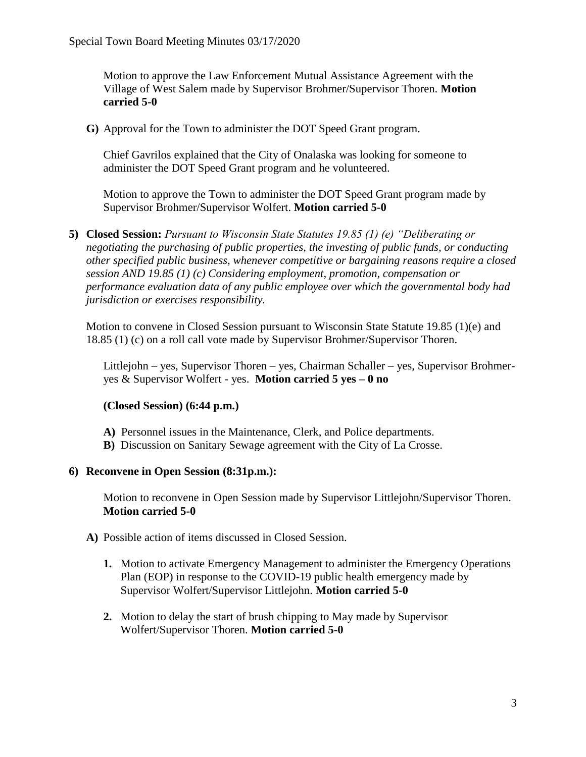Motion to approve the Law Enforcement Mutual Assistance Agreement with the Village of West Salem made by Supervisor Brohmer/Supervisor Thoren. **Motion carried 5-0**

**G)** Approval for the Town to administer the DOT Speed Grant program.

Chief Gavrilos explained that the City of Onalaska was looking for someone to administer the DOT Speed Grant program and he volunteered.

Motion to approve the Town to administer the DOT Speed Grant program made by Supervisor Brohmer/Supervisor Wolfert. **Motion carried 5-0**

**5) Closed Session:** *Pursuant to Wisconsin State Statutes 19.85 (1) (e) "Deliberating or negotiating the purchasing of public properties, the investing of public funds, or conducting other specified public business, whenever competitive or bargaining reasons require a closed session AND 19.85 (1) (c) Considering employment, promotion, compensation or performance evaluation data of any public employee over which the governmental body had jurisdiction or exercises responsibility.* 

Motion to convene in Closed Session pursuant to Wisconsin State Statute 19.85 (1)(e) and 18.85 (1) (c) on a roll call vote made by Supervisor Brohmer/Supervisor Thoren.

Littlejohn – yes, Supervisor Thoren – yes, Chairman Schaller – yes, Supervisor Brohmeryes & Supervisor Wolfert - yes. **Motion carried 5 yes – 0 no** 

### **(Closed Session) (6:44 p.m.)**

- **A)** Personnel issues in the Maintenance, Clerk, and Police departments.
- **B)** Discussion on Sanitary Sewage agreement with the City of La Crosse.

#### **6) Reconvene in Open Session (8:31p.m.):**

Motion to reconvene in Open Session made by Supervisor Littlejohn/Supervisor Thoren. **Motion carried 5-0** 

- **A)** Possible action of items discussed in Closed Session.
	- **1.** Motion to activate Emergency Management to administer the Emergency Operations Plan (EOP) in response to the COVID-19 public health emergency made by Supervisor Wolfert/Supervisor Littlejohn. **Motion carried 5-0**
	- **2.** Motion to delay the start of brush chipping to May made by Supervisor Wolfert/Supervisor Thoren. **Motion carried 5-0**